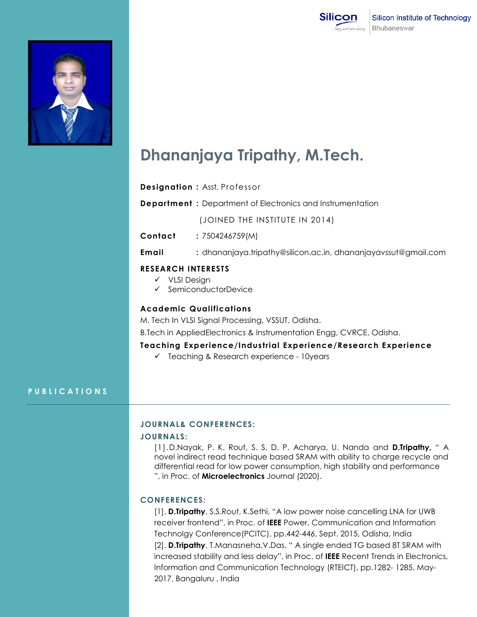



# **Dhananjaya Tripathy, M.Tech.**

**Designation :** Asst. Professor

**Department :** Department of Electronics and Instrumentation

(JOINED THE INSTITUTE IN 2014)

**Contact :** 7504246759(M)

**Email :** [dhananjaya.tripathy@silicon.ac.in,](mailto:dhananjaya.tripathy@silicon.ac.in) dhananjayavssut@gmail.com

## **RESEARCH INTERESTS**

- $V$  VLSI Design
- $\checkmark$  SemiconductorDevice

# **Academic Qualifications**

M. Tech In VLSI Signal Processing, VSSUT, Odisha.

B.Tech in AppliedElectronics & Instrumentation Engg, CVRCE, Odisha.

**Teaching Experience/Industrial Experience/Research Experience**

 $\checkmark$  Teaching & Research experience - 10 years

## **P U B L I C A T I O N S**

#### **JOURNAL& CONFERENCES:**

# **JOURNALS:**

[1].D.Nayak, P. K. Rout, S. S, D. P. Acharya, U. Nanda and **D.Tripathy,** " A novel indirect read technique based SRAM with ability to charge recycle and differential read for low power consumption, high stability and performance ", in Proc. of **Microelectronics** Journal (2020).

## **CONFERENCES:**

[1]. **D.Tripathy**, S.S.Rout, K.Sethi, "A low power noise cancelling LNA for UWB receiver frontend", in Proc. of **IEEE** Power, Communication and Information Technolgy Conference(PCITC), pp.442-446, Sept. 2015, Odisha, India [2]. **D.Tripathy**, T.Manasneha,V.Das, " A single ended TG based 8T SRAM with increased stability and less delay", in Proc. of **IEEE** Recent Trends in Electronics, Information and Communication Technology (RTEICT), pp.1282- 1285, May-2017, Bangaluru , India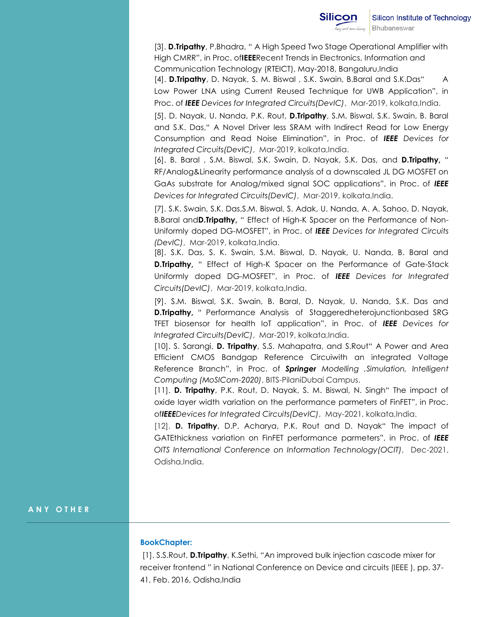[3]. **D.Tripathy**, P.Bhadra, " A High Speed Two Stage Operational Amplifier with High CMRR", in Proc. of**IEEE**Recent Trends in Electronics, Information and Communication Technology (RTEICT), May-2018, Bangaluru,India

[4]. **D.Tripathy**, D. Nayak, S. M. Biswal , S.K. Swain, B.Baral and S.K.Das" A Low Power LNA using Current Reused Technique for UWB Application", in Proc. of *IEEE Devices for Integrated Circuits(DevIC)*, Mar-2019, kolkata,India.

[5]. D. Nayak, U. Nanda, P.K. Rout, **D.Tripathy**, S.M. Biswal, S.K. Swain, B. Baral and S.K. Das," A Novel Driver less SRAM with Indirect Read for Low Energy Consumption and Read Noise Elimination", in Proc. of *IEEE Devices for Integrated Circuits(DevIC)*, Mar-2019, kolkata,India.

[6]. B. Baral , S.M. Biswal, S.K. Swain, D. Nayak, S.K. Das, and **D.Tripathy,** " RF/Analog&Linearity performance analysis of a downscaled JL DG MOSFET on GaAs substrate for Analog/mixed signal SOC applications", in Proc. of *IEEE Devices for Integrated Circuits(DevIC)*, Mar-2019, kolkata,India.

[7]. S.K. Swain, S.K. Das,S.M. Biswal, S. Adak, U. Nanda, A. A. Sahoo, D. Nayak, B.Baral and**D.Tripathy,** " Effect of High-K Spacer on the Performance of Non-Uniformly doped DG-MOSFET", in Proc. of *IEEE Devices for Integrated Circuits (DevIC)*, Mar-2019, kolkata,India.

[8]. S.K. Das, S. K. Swain, S.M. Biswal, D. Nayak, U. Nanda, B. Baral and **D.Tripathy,** " Effect of High-K Spacer on the Performance of Gate-Stack Uniformly doped DG-MOSFET", in Proc. of *IEEE Devices for Integrated Circuits(DevIC)*, Mar-2019, kolkata,India.

[9]. S.M. Biswal, S.K. Swain, B. Baral, D. Nayak, U. Nanda, S.K. Das and **D.Tripathy,** " Performance Analysis of Staggeredheterojunctionbased SRG TFET biosensor for health IoT application", in Proc. of *IEEE Devices for Integrated Circuits(DevIC)*, Mar-2019, kolkata,India.

[10]. S. Sarangi, **D. Tripathy**, S.S. Mahapatra, and S.Rout" A Power and Area Efficient CMOS Bandgap Reference Circuiwith an integrated Voltage Reference Branch", in Proc. of *Springer Modelling ,Simulation, Intelligent Computing (MoSICom-2020)*, BITS-PilaniDubai Campus.

[11]. **D. Tripathy**, P.K. Rout, D. Nayak, S. M. Biswal, N. Singh" The impact of oxide layer width variation on the performance parmeters of FinFET", in Proc. of*IEEEDevices for Integrated Circuits(DevIC)*, May-2021, kolkata,India.

[12]. **D. Tripathy**, D.P. Acharya, P.K. Rout and D. Nayak" The impact of GATEthickness variation on FinFET performance parmeters", in Proc. of *IEEE OITS International Conference on Information Technology(OCIT)*, Dec-2021, Odisha, India.

# **A N Y O T H E R**

## **BookChapter:**

[1]. S.S.Rout, **D.Tripathy**, K.Sethi, "An improved bulk injection cascode mixer for receiver frontend " in National Conference on Device and circuits (IEEE ), pp. 37- 41, Feb. 2016, Odisha,India